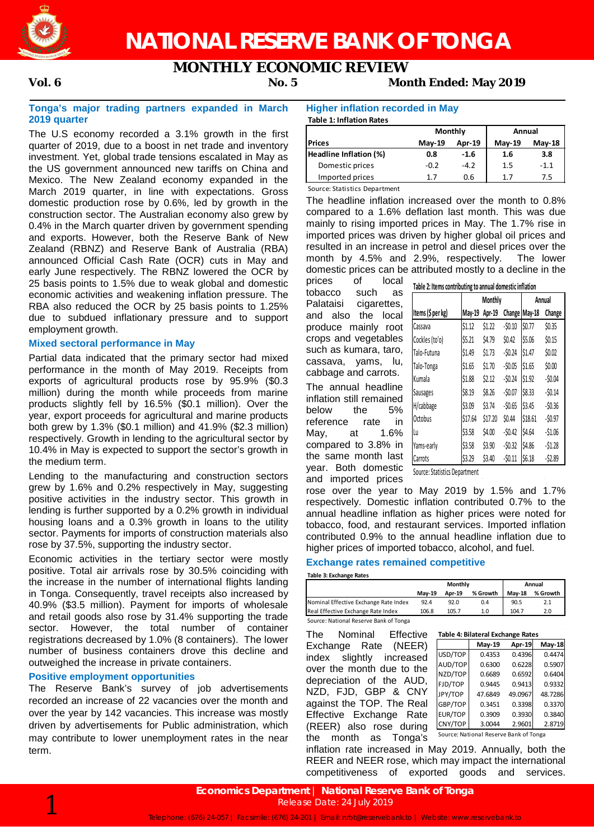

# **NATIONAL RESERVE BANK OF TONGA**

# **MONTHLY ECONOMIC REVIEW**

**Vol. 6 No. 5 Month Ended: May 2019**

### **Tonga's major trading partners expanded in March 2019 quarter**

The U.S economy recorded a 3.1% growth in the first quarter of 2019, due to a boost in net trade and inventory investment. Yet, global trade tensions escalated in May as the US government announced new tariffs on China and Mexico. The New Zealand economy expanded in the March 2019 quarter, in line with expectations. Gross domestic production rose by 0.6%, led by growth in the construction sector. The Australian economy also grew by 0.4% in the March quarter driven by government spending and exports. However, both the Reserve Bank of New Zealand (RBNZ) and Reserve Bank of Australia (RBA) announced Official Cash Rate (OCR) cuts in May and early June respectively. The RBNZ lowered the OCR by 25 basis points to 1.5% due to weak global and domestic economic activities and weakening inflation pressure. The RBA also reduced the OCR by 25 basis points to 1.25% due to subdued inflationary pressure and to support employment growth.

# **Mixed sectoral performance in May**

Partial data indicated that the primary sector had mixed performance in the month of May 2019. Receipts from exports of agricultural products rose by 95.9% (\$0.3 million) during the month while proceeds from marine products slightly fell by 16.5% (\$0.1 million). Over the year, export proceeds for agricultural and marine products both grew by 1.3% (\$0.1 million) and 41.9% (\$2.3 million) respectively. Growth in lending to the agricultural sector by 10.4% in May is expected to support the sector's growth in the medium term.

Lending to the manufacturing and construction sectors grew by 1.6% and 0.2% respectively in May, suggesting positive activities in the industry sector. This growth in lending is further supported by a 0.2% growth in individual housing loans and a 0.3% growth in loans to the utility sector. Payments for imports of construction materials also rose by 37.5%, supporting the industry sector.

Economic activities in the tertiary sector were mostly positive. Total air arrivals rose by 30.5% coinciding with the increase in the number of international flights landing in Tonga. Consequently, travel receipts also increased by 40.9% (\$3.5 million). Payment for imports of wholesale and retail goods also rose by 31.4% supporting the trade However, the total number of container registrations decreased by 1.0% (8 containers). The lower number of business containers drove this decline and outweighed the increase in private containers.

# **Positive employment opportunities**

The Reserve Bank's survey of job advertisements recorded an increase of 22 vacancies over the month and over the year by 142 vacancies. This increase was mostly driven by advertisements for Public administration, which may contribute to lower unemployment rates in the near term.

# **Higher inflation recorded in May**

**Table 1: Inflation Rates**

|                        | Monthly       |               | Annual        |               |  |
|------------------------|---------------|---------------|---------------|---------------|--|
| <b>Prices</b>          | <b>Mav-19</b> | <b>Apr-19</b> | <b>Mav-19</b> | <b>Mav-18</b> |  |
| Headline Inflation (%) | 0.8           | $-1.6$        | 1.6           | 3.8           |  |
| Domestic prices        | $-0.2$        | $-4.2$        | 1.5           | $-1.1$        |  |
| Imported prices        |               | 0.6           |               | 7.5           |  |

Source: Statistics Department

The headline inflation increased over the month to 0.8% compared to a 1.6% deflation last month. This was due mainly to rising imported prices in May. The 1.7% rise in imported prices was driven by higher global oil prices and resulted in an increase in petrol and diesel prices over the month by 4.5% and 2.9%, respectively. The lower domestic prices can be attributed mostly to a decline in the prices of local support in the prices

prices tobacco such as Palataisi cigarettes, and also the local produce mainly root crops and vegetables such as kumara, taro, cassava, yams, lu, cabbage and carrots. The annual headline inflation still remained<br>below the 5% below reference rate in May, at 1.6% compared to 3.8% in the same month last year. Both domestic and imported prices

|--|

|                   |         | <b>Monthly</b> |               | Annual       |          |  |
|-------------------|---------|----------------|---------------|--------------|----------|--|
| Items (\$ per kg) | May-19  | Apr-19         | Change May-18 |              | Change   |  |
| Cassava           | \$1.12  | \$1.22         | $-50.10$      | <b>SO.77</b> | \$0.35   |  |
| Cockles (to'o)    | \$5.21  | \$4.79         | \$0.42        | \$5.06       | \$0.15   |  |
| Talo-Futuna       | \$1.49  | \$1.73         | $-50.24$      | \$1.47       | \$0.02\$ |  |
| Talo-Tonga        | \$1.65  | \$1.70         | $-50.05$      | \$1.65       | \$0.00   |  |
| Kumala            | \$1.88  | \$2.12         | $-50.24$      | \$1.92       | $-50.04$ |  |
| Sausages          | \$8.19  | \$8.26         | $-50.07$      | \$8.33       | $-50.14$ |  |
| H/cabbage         | \$3.09  | \$3.74         | $-50.65$      | \$3.45       | $-50.36$ |  |
| Octobus           | \$17.64 | \$17.20        | \$0.44        | \$18.61      | $-50.97$ |  |
| Lu                | \$3.58  | \$4.00         | $-50.42$      | \$4.64       | $-51.06$ |  |
| Yams-early        | \$3.58  | \$3.90         | $-50.32$      | \$4.86       | $-51.28$ |  |
| Carrots           | \$3.29  | \$3.40         | $-50.11$      | \$6.18       | $-52.89$ |  |

Source: Statistics Department

rose over the year to May 2019 by 1.5% and 1.7% respectively. Domestic inflation contributed 0.7% to the annual headline inflation as higher prices were noted for tobacco, food, and restaurant services. Imported inflation contributed 0.9% to the annual headline inflation due to higher prices of imported tobacco, alcohol, and fuel.

# **Exchange rates remained competitive**

**Table 3: Exchange Rates**

|                                       |               | Monthly | Annual   |               |          |
|---------------------------------------|---------------|---------|----------|---------------|----------|
|                                       | <b>Mav-19</b> | Apr-19  | % Growth | <b>Mav-18</b> | % Growth |
| Nominal Effective Exchange Rate Index | 92.4          | 92.0    | 0.4      | 90.5          | 2.1      |
| Real Effective Exchange Rate Index    | 106.8         | 105.7   | 1.0      | 104.7         | 2.0      |
|                                       |               |         |          |               |          |

Source: National Reserve Bank of Tonga

The Nominal Effective Exchange Rate (NEER) index slightly increased over the month due to the depreciation of the AUD, NZD, FJD, GBP & CNY against the TOP. The Real Effective Exchange Rate (REER) also rose during the month as Tonga's

|  | Table 4: Bilateral Exchange Rates |  |
|--|-----------------------------------|--|

| Table 4. Bilateral Exchange Rates |                                        |         |               |  |  |  |  |
|-----------------------------------|----------------------------------------|---------|---------------|--|--|--|--|
|                                   | May-19                                 | Apr-19  | <b>May-18</b> |  |  |  |  |
| USD/TOP                           | 0.4353                                 | 0.4396  | 0.4474        |  |  |  |  |
| AUD/TOP                           | 0.6300                                 | 0.6228  | 0.5907        |  |  |  |  |
| NZD/TOP                           | 0.6689                                 | 0.6592  | 0.6404        |  |  |  |  |
| FJD/TOP                           | 0.9445                                 | 0.9413  | 0.9332        |  |  |  |  |
| JPY/TOP                           | 47.6849                                | 49.0967 | 48.7286       |  |  |  |  |
| GBP/TOP                           | 0.3451                                 | 0.3398  | 0.3370        |  |  |  |  |
| EUR/TOP                           | 0.3909                                 | 0.3930  | 0.3840        |  |  |  |  |
| CNY/TOP                           | 3.0044                                 | 2.9601  | 2.8719        |  |  |  |  |
|                                   | Source: National Reserve Bank of Tonga |         |               |  |  |  |  |

inflation rate increased in May 2019. Annually, both the REER and NEER rose, which may impact the international competitiveness of exported goods and services.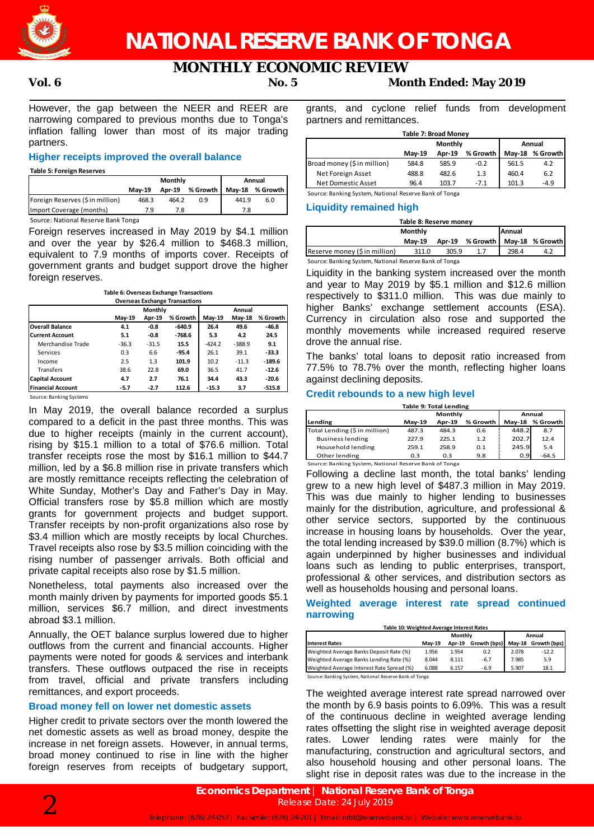

# **MONTHLY ECONOMIC REVIEW**

# **Vol. 6 No. 5 Month Ended: May 2019**

However, the gap between the NEER and REER are narrowing compared to previous months due to Tonga's inflation falling lower than most of its major trading partners.

# **Higher receipts improved the overall balance**

**Table 5: Foreign Reserves**

|                                     |               | <b>Monthly</b> | Annual   |               |          |  |  |
|-------------------------------------|---------------|----------------|----------|---------------|----------|--|--|
|                                     | <b>Mav-19</b> | Apr-19         | % Growth | <b>Mav-18</b> | % Growth |  |  |
| Foreign Reserves (\$ in million)    | 468.3         | 464.2          | 0.9      | 441.9         | 6.0      |  |  |
| Import Coverage (months)            | 79            | 7.8            |          | 7.8           |          |  |  |
| Source: National Reserve Bank Tonga |               |                |          |               |          |  |  |

Foreign reserves increased in May 2019 by \$4.1 million and over the year by \$26.4 million to \$468.3 million, equivalent to 7.9 months of imports cover. Receipts of government grants and budget support drove the higher foreign reserves.

**Table 6: Overseas Exchange Transactions**

| <b>Overseas Exchange Transactions</b> |         |         |          |          |          |          |
|---------------------------------------|---------|---------|----------|----------|----------|----------|
|                                       |         | Monthly |          | Annual   |          |          |
|                                       | May-19  | Apr-19  | % Growth | $May-19$ | May-18   | % Growth |
| <b>Overall Balance</b>                | 4.1     | $-0.8$  | $-640.9$ | 26.4     | 49.6     | $-46.8$  |
| <b>Current Account</b>                | 5.1     | $-0.8$  | $-768.6$ | 5.3      | 4.2      | 24.5     |
| Merchandise Trade                     | $-36.3$ | $-31.5$ | 15.5     | $-424.2$ | $-388.9$ | 9.1      |
| Services                              | 0.3     | 6.6     | $-95.4$  | 26.1     | 39.1     | $-33.3$  |
| Income                                | 2.5     | 1.3     | 101.9    | 10.2     | $-11.3$  | $-189.6$ |
| Transfers                             | 38.6    | 22.8    | 69.0     | 36.5     | 41.7     | $-12.6$  |
| <b>Capital Account</b>                | 4.7     | 2.7     | 76.1     | 34.4     | 43.3     | $-20.6$  |
| <b>Financial Account</b>              | $-5.7$  | $-2.7$  | 112.6    | $-15.3$  | 3.7      | $-515.8$ |

Source: Banking Systems

In May 2019, the overall balance recorded a surplus compared to a deficit in the past three months. This was due to higher receipts (mainly in the current account), rising by \$15.1 million to a total of \$76.6 million. Total transfer receipts rose the most by \$16.1 million to \$44.7 million, led by a \$6.8 million rise in private transfers which are mostly remittance receipts reflecting the celebration of White Sunday, Mother's Day and Father's Day in May. Official transfers rose by \$5.8 million which are mostly grants for government projects and budget support. Transfer receipts by non-profit organizations also rose by \$3.4 million which are mostly receipts by local Churches. Travel receipts also rose by \$3.5 million coinciding with the rising number of passenger arrivals. Both official and private capital receipts also rose by \$1.5 million.

Nonetheless, total payments also increased over the month mainly driven by payments for imported goods \$5.1 million, services \$6.7 million, and direct investments abroad \$3.1 million.

Annually, the OET balance surplus lowered due to higher outflows from the current and financial accounts. Higher payments were noted for goods & services and interbank transfers. These outflows outpaced the rise in receipts from travel, official and private transfers including remittances, and export proceeds.

# **Broad money fell on lower net domestic assets**

Higher credit to private sectors over the month lowered the net domestic assets as well as broad money, despite the increase in net foreign assets. However, in annual terms, broad money continued to rise in line with the higher foreign reserves from receipts of budgetary support,

grants, and cyclone relief funds from development partners and remittances.

| <b>Table 7: Broad Money</b>                            |          |               |          |               |          |  |  |
|--------------------------------------------------------|----------|---------------|----------|---------------|----------|--|--|
|                                                        |          | Monthly       | Annual   |               |          |  |  |
|                                                        | $May-19$ | <b>Apr-19</b> | % Growth | <b>Mav-18</b> | % Growth |  |  |
| Broad money (\$ in million)                            | 584.8    | 585.9         | $-0.2$   | 561.5         | 4.2      |  |  |
| Net Foreign Asset                                      | 488.8    | 482.6         | 1.3      | 460.4         | 6.2      |  |  |
| Net Domestic Asset                                     | 96.4     | 103.7         | $-7.1$   | 101.3         | $-4.9$   |  |  |
| Source: Banking System, National Reserve Bank of Tonga |          |               |          |               |          |  |  |

# **Liquidity remained high**

| Table 8: Reserve money                                 |               |       |        |       |                                   |  |  |
|--------------------------------------------------------|---------------|-------|--------|-------|-----------------------------------|--|--|
|                                                        | Monthly       |       | Annual |       |                                   |  |  |
|                                                        | <b>Mav-19</b> |       |        |       | Apr-19 % Growth   May-18 % Growth |  |  |
| Reserve money (\$ in million)                          | 311.0         | 305.9 |        | 298.4 | 4.2                               |  |  |
| Course: Rapking Custom, National Reserve Rapk of Tongo |               |       |        |       |                                   |  |  |

king System, National Reserve Bank of Tonga

Liquidity in the banking system increased over the month and year to May 2019 by \$5.1 million and \$12.6 million respectively to \$311.0 million. This was due mainly to higher Banks' exchange settlement accounts (ESA). Currency in circulation also rose and supported the monthly movements while increased required reserve drove the annual rise.

The banks' total loans to deposit ratio increased from 77.5% to 78.7% over the month, reflecting higher loans against declining deposits.

# **Credit rebounds to a new high level**

| <b>Table 9: Total Lending</b>                          |          |               |          |               |          |  |  |
|--------------------------------------------------------|----------|---------------|----------|---------------|----------|--|--|
|                                                        |          | Monthly       |          | Annual        |          |  |  |
| Lending                                                | $May-19$ | <b>Apr-19</b> | % Growth | <b>May-18</b> | % Growth |  |  |
| Total Lending (\$ in million)                          | 487.3    | 484.3         | 0.6      | 448.2         | 8.7      |  |  |
| <b>Business lending</b>                                | 227.9    | 225.1         | 1.2      | 202.7         | 12.4     |  |  |
| Household lending                                      | 259.1    | 258.9         | 0.1      | 245.9         | 5.4      |  |  |
| Other lending                                          | 0.3      | 0.3           | 9.8      | 0.9           | $-64.5$  |  |  |
| Source: Banking System, National Reserve Bank of Tonga |          |               |          |               |          |  |  |

Following a decline last month, the total banks' lending grew to a new high level of \$487.3 million in May 2019. This was due mainly to higher lending to businesses mainly for the distribution, agriculture, and professional & other service sectors, supported by the continuous increase in housing loans by households. Over the year, the total lending increased by \$39.0 million (8.7%) which is again underpinned by higher businesses and individual loans such as lending to public enterprises, transport, professional & other services, and distribution sectors as well as households housing and personal loans.

# **Weighted average interest rate spread continued narrowing**

### **Table 10: Weighted Average Interest Rates**

|                                                        | Monthly       |        |              | Annual        |              |  |  |
|--------------------------------------------------------|---------------|--------|--------------|---------------|--------------|--|--|
| <b>Interest Rates</b>                                  | <b>Mav-19</b> | Apr-19 | Growth (bps) | <b>Mav-18</b> | Growth (bps) |  |  |
| Weighted Average Banks Deposit Rate (%)                | 1.956         | 1.954  | 0.2          | 2.078         | $-12.2$      |  |  |
| Weighted Average Banks Lending Rate (%)                | 8.044         | 8.111  | $-6.7$       | 7.985         | 5.9          |  |  |
| Weighted Average Interest Rate Spread (%)              | 6.088         | 6.157  | $-6.9$       | 5.907         | 18.1         |  |  |
| Source: Banking System, National Reserve Bank of Tonga |               |        |              |               |              |  |  |

The weighted average interest rate spread narrowed over the month by 6.9 basis points to 6.09%. This was a result of the continuous decline in weighted average lending rates offsetting the slight rise in weighted average deposit rates. Lower lending rates were mainly for the manufacturing, construction and agricultural sectors, and also household housing and other personal loans. The slight rise in deposit rates was due to the increase in the